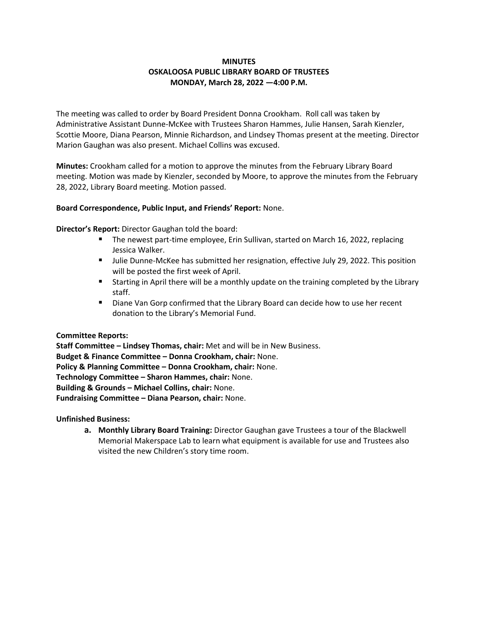# **MINUTES OSKALOOSA PUBLIC LIBRARY BOARD OF TRUSTEES MONDAY, March 28, 2022 —4:00 P.M.**

The meeting was called to order by Board President Donna Crookham. Roll call was taken by Administrative Assistant Dunne-McKee with Trustees Sharon Hammes, Julie Hansen, Sarah Kienzler, Scottie Moore, Diana Pearson, Minnie Richardson, and Lindsey Thomas present at the meeting. Director Marion Gaughan was also present. Michael Collins was excused.

**Minutes:** Crookham called for a motion to approve the minutes from the February Library Board meeting. Motion was made by Kienzler, seconded by Moore, to approve the minutes from the February 28, 2022, Library Board meeting. Motion passed.

# **Board Correspondence, Public Input, and Friends' Report:** None.

**Director's Report:** Director Gaughan told the board:

- The newest part-time employee, Erin Sullivan, started on March 16, 2022, replacing Jessica Walker.
- **■** Julie Dunne-McKee has submitted her resignation, effective July 29, 2022. This position will be posted the first week of April.
- Starting in April there will be a monthly update on the training completed by the Library staff.
- Diane Van Gorp confirmed that the Library Board can decide how to use her recent donation to the Library's Memorial Fund.

#### **Committee Reports:**

**Staff Committee – Lindsey Thomas, chair:** Met and will be in New Business. **Budget & Finance Committee – Donna Crookham, chair:** None. **Policy & Planning Committee – Donna Crookham, chair:** None. **Technology Committee – Sharon Hammes, chair:** None. **Building & Grounds – Michael Collins, chair:** None. **Fundraising Committee – Diana Pearson, chair:** None.

**Unfinished Business:**

**a. Monthly Library Board Training:** Director Gaughan gave Trustees a tour of the Blackwell Memorial Makerspace Lab to learn what equipment is available for use and Trustees also visited the new Children's story time room.